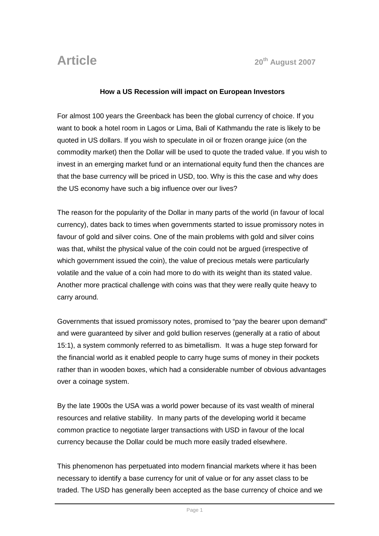## **How a US Recession will impact on European Investors**

For almost 100 years the Greenback has been the global currency of choice. If you want to book a hotel room in Lagos or Lima, Bali of Kathmandu the rate is likely to be quoted in US dollars. If you wish to speculate in oil or frozen orange juice (on the commodity market) then the Dollar will be used to quote the traded value. If you wish to invest in an emerging market fund or an international equity fund then the chances are that the base currency will be priced in USD, too. Why is this the case and why does the US economy have such a big influence over our lives?

The reason for the popularity of the Dollar in many parts of the world (in favour of local currency), dates back to times when governments started to issue promissory notes in favour of gold and silver coins. One of the main problems with gold and silver coins was that, whilst the physical value of the coin could not be argued (irrespective of which government issued the coin), the value of precious metals were particularly volatile and the value of a coin had more to do with its weight than its stated value. Another more practical challenge with coins was that they were really quite heavy to carry around.

Governments that issued promissory notes, promised to "pay the bearer upon demand" and were guaranteed by silver and gold bullion reserves (generally at a ratio of about 15:1), a system commonly referred to as bimetallism. It was a huge step forward for the financial world as it enabled people to carry huge sums of money in their pockets rather than in wooden boxes, which had a considerable number of obvious advantages over a coinage system.

By the late 1900s the USA was a world power because of its vast wealth of mineral resources and relative stability. In many parts of the developing world it became common practice to negotiate larger transactions with USD in favour of the local currency because the Dollar could be much more easily traded elsewhere.

This phenomenon has perpetuated into modern financial markets where it has been necessary to identify a base currency for unit of value or for any asset class to be traded. The USD has generally been accepted as the base currency of choice and we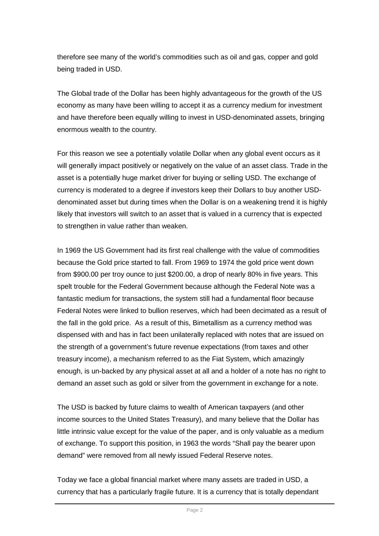therefore see many of the world's commodities such as oil and gas, copper and gold being traded in USD.

The Global trade of the Dollar has been highly advantageous for the growth of the US economy as many have been willing to accept it as a currency medium for investment and have therefore been equally willing to invest in USD-denominated assets, bringing enormous wealth to the country.

For this reason we see a potentially volatile Dollar when any global event occurs as it will generally impact positively or negatively on the value of an asset class. Trade in the asset is a potentially huge market driver for buying or selling USD. The exchange of currency is moderated to a degree if investors keep their Dollars to buy another USDdenominated asset but during times when the Dollar is on a weakening trend it is highly likely that investors will switch to an asset that is valued in a currency that is expected to strengthen in value rather than weaken.

In 1969 the US Government had its first real challenge with the value of commodities because the Gold price started to fall. From 1969 to 1974 the gold price went down from \$900.00 per troy ounce to just \$200.00, a drop of nearly 80% in five years. This spelt trouble for the Federal Government because although the Federal Note was a fantastic medium for transactions, the system still had a fundamental floor because Federal Notes were linked to bullion reserves, which had been decimated as a result of the fall in the gold price. As a result of this, Bimetallism as a currency method was dispensed with and has in fact been unilaterally replaced with notes that are issued on the strength of a government's future revenue expectations (from taxes and other treasury income), a mechanism referred to as the Fiat System, which amazingly enough, is un-backed by any physical asset at all and a holder of a note has no right to demand an asset such as gold or silver from the government in exchange for a note.

The USD is backed by future claims to wealth of American taxpayers (and other income sources to the United States Treasury), and many believe that the Dollar has little intrinsic value except for the value of the paper, and is only valuable as a medium of exchange. To support this position, in 1963 the words "Shall pay the bearer upon demand" were removed from all newly issued Federal Reserve notes.

Today we face a global financial market where many assets are traded in USD, a currency that has a particularly fragile future. It is a currency that is totally dependant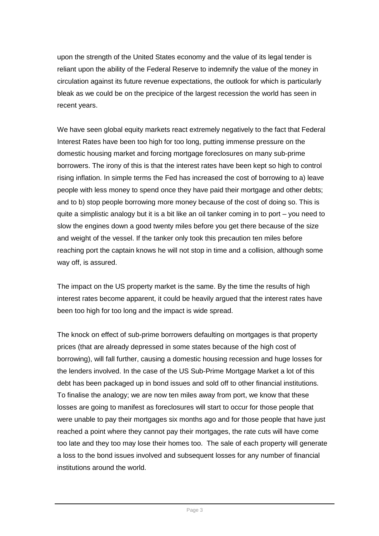upon the strength of the United States economy and the value of its legal tender is reliant upon the ability of the Federal Reserve to indemnify the value of the money in circulation against its future revenue expectations, the outlook for which is particularly bleak as we could be on the precipice of the largest recession the world has seen in recent years.

We have seen global equity markets react extremely negatively to the fact that Federal Interest Rates have been too high for too long, putting immense pressure on the domestic housing market and forcing mortgage foreclosures on many sub-prime borrowers. The irony of this is that the interest rates have been kept so high to control rising inflation. In simple terms the Fed has increased the cost of borrowing to a) leave people with less money to spend once they have paid their mortgage and other debts; and to b) stop people borrowing more money because of the cost of doing so. This is quite a simplistic analogy but it is a bit like an oil tanker coming in to port – you need to slow the engines down a good twenty miles before you get there because of the size and weight of the vessel. If the tanker only took this precaution ten miles before reaching port the captain knows he will not stop in time and a collision, although some way off, is assured.

The impact on the US property market is the same. By the time the results of high interest rates become apparent, it could be heavily argued that the interest rates have been too high for too long and the impact is wide spread.

The knock on effect of sub-prime borrowers defaulting on mortgages is that property prices (that are already depressed in some states because of the high cost of borrowing), will fall further, causing a domestic housing recession and huge losses for the lenders involved. In the case of the US Sub-Prime Mortgage Market a lot of this debt has been packaged up in bond issues and sold off to other financial institutions. To finalise the analogy; we are now ten miles away from port, we know that these losses are going to manifest as foreclosures will start to occur for those people that were unable to pay their mortgages six months ago and for those people that have just reached a point where they cannot pay their mortgages, the rate cuts will have come too late and they too may lose their homes too. The sale of each property will generate a loss to the bond issues involved and subsequent losses for any number of financial institutions around the world.